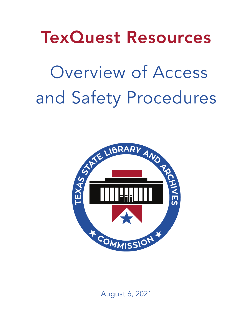TexQuest Resources

Overview of Access and Safety Procedures



August 6, 2021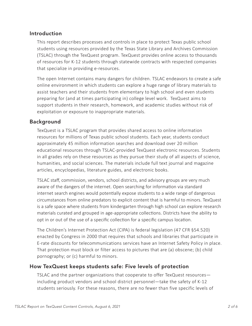### Introduction

This report describes processes and controls in place to protect Texas public school students using resources provided by the Texas State Library and Archives Commission (TSLAC) through the TexQuest program. TexQuest provides online access to thousands of resources for K-12 students through statewide contracts with respected companies that specialize in providing e-resources.

The open Internet contains many dangers for children. TSLAC endeavors to create a safe online environment in which students can explore a huge range of library materials to assist teachers and their students from elementary to high school and even students preparing for (and at times participating in) college level work. TexQuest aims to support students in their research, homework, and academic studies without risk of exploitation or exposure to inappropriate materials.

#### Background

TexQuest is a TSLAC program that provides shared access to online information resources for millions of Texas public school students. Each year, students conduct approximately 45 million information searches and download over 20 million educational resources through TSLAC-provided TexQuest electronic resources. Students in all grades rely on these resources as they pursue their study of all aspects of science, humanities, and social sciences. The materials include full text journal and magazine articles, encyclopedias, literature guides, and electronic books.

TSLAC staff, commission, vendors, school districts, and advisory groups are very much aware of the dangers of the internet. Open searching for information via standard internet search engines would potentially expose students to a wide range of dangerous circumstances from online predators to explicit content that is harmful to minors. TexQuest is a safe space where students from kindergarten through high school can explore research materials curated and grouped in age-appropriate collections. Districts have the ability to opt in or out of the use of a specific collection for a specific campus location.

The Children's Internet Protection Act (CIPA) is federal legislation (47 CFR §54.520) enacted by Congress in 2000 that requires that schools and libraries that participate in E-rate discounts for telecommunications services have an Internet Safety Policy in place. That protection must block or filter access to pictures that are (a) obscene; (b) child pornography; or (c) harmful to minors.

#### How TexQuest keeps students safe: Five levels of protection

TSLAC and the partner organizations that cooperate to offer TexQuest resources including product vendors and school district personnel—take the safety of K-12 students seriously. For these reasons, there are no fewer than five specific levels of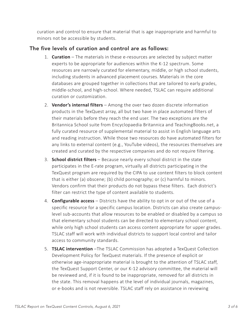curation and control to ensure that material that is age inappropriate and harmful to minors not be accessible by students.

### The five levels of curation and control are as follows:

- 1. **Curation** The materials in these e-resources are selected by subject matter experts to be appropriate for audiences within the K-12 spectrum. Some resources are narrowly curated for elementary, middle, or high school students, including students in advanced placement courses. Materials in the core databases are grouped together in collections that are tailored to early grades, middle-school, and high-school. Where needed, TSLAC can require additional curation or customization.
- 2. **Vendor's internal filters** Among the over two dozen discrete information products in the TexQuest array, all but two have in place automated filters of their materials before they reach the end user. The two exceptions are the Britannica School suite from Encyclopaedia Britannica and TeachingBooks.net, a fully curated resource of supplemental material to assist in English language arts and reading instruction. While those two resources do have automated filters for any links to external content (e.g., YouTube videos), the resources themselves are created and curated by the respective companies and do not require filtering.
- 3. **School district filters** Because nearly every school district in the state participates in the E-rate program, virtually all districts participating in the TexQuest program are required by the CIPA to use content filters to block content that is either (a) obscene; (b) child pornography; or (c) harmful to minors. Vendors confirm that their products do not bypass these filters. Each district's filter can restrict the type of content available to students.
- 4. **Configurable access** Districts have the ability to opt in or out of the use of a specific resource for a specific campus location. Districts can also create campuslevel sub-accounts that allow resources to be enabled or disabled by a campus so that elementary school students can be directed to elementary school content, while only high school students can access content appropriate for upper grades. TSLAC staff will work with individual districts to support local control and tailor access to community standards.
- 5. **TSLAC intervention** –The TSLAC Commission has adopted a TexQuest Collection Development Policy for TexQuest materials. If the presence of explicit or otherwise age-inappropriate material is brought to the attention of TSLAC staff, the TexQuest Support Center, or our K-12 advisory committee, the material will be reviewed and, if it is found to be inappropriate, removed for all districts in the state. This removal happens at the level of individual journals, magazines, or e-books and is not reversible. TSLAC staff rely on assistance in reviewing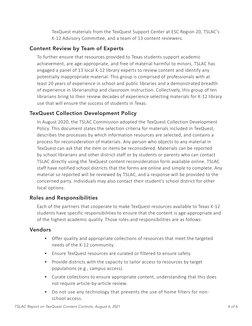TexQuest materials from the TexQuest Support Center at ESC Region 20, TSLAC's K-12 Advisory Committee, and a team of 13 content reviewers.

## Content Review by Team of Experts

To further ensure that resources provided to Texas students support academic achievement, are age-appropriate, and free of material harmful to minors, TSLAC has engaged a panel of 13 local K-12 library experts to review content and identify any potentially inappropriate material. This group is comprised of professionals with at least 20 years of experience in school and public libraries and a demonstrated breadth of experience in librarianship and classroom instruction. Collectively, this group of ten librarians bring to their review decades of experience selecting materials for K-12 library use that will ensure the success of students in Texas.

### TexQuest Collection Development Policy

In August 2020, the TSLAC Commission adopted the TexQuest Collection Development Policy. This document states the selection criteria for materials included in TexQuest, describes the processes by which information resources are selected, and contains a process for reconsideration of materials. Any person who objects to any material in TexQuest can ask that the item or items be reconsidered. Materials can be reported by school librarians and other district staff or by students or parents who can contact TSLAC directly using the TexQuest content reconsideration form available online. TSLAC staff have notified school districts that the forms are online and simple to complete. Any material so reported will be reviewed by TSLAC, and a response will be provided to the concerned party. Individuals may also contact their student's school district for other local options.

### Roles and Responsibilities

Each of the partners that cooperate to make TexQuest resources available to Texas K-12 students have specific responsibilities to ensure that the content is age-appropriate and of the highest academic quality. Those roles and responsibilities are as follows:

### Vendors

- Offer quality and appropriate collections of resources that meet the targeted needs of the K-12 community.
- Ensure TexQuest resources are curated or filtered to ensure safety.
- Provide districts with the capacity to tailor access to resources by target populations (e.g., campus access).
- Curate collections to ensure appropriate content, understanding that this does not require article-by-article review.
- Do not use any technology that prevents the use of home filters for nonschool access.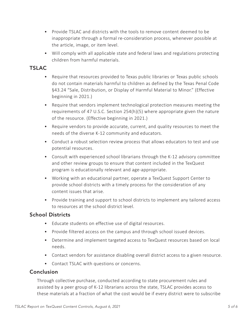- Provide TSLAC and districts with the tools to remove content deemed to be inappropriate through a formal re-consideration process, whenever possible at the article, image, or item level.
- Will comply with all applicable state and federal laws and regulations protecting children from harmful materials.

# **TSLAC**

- Require that resources provided to Texas public libraries or Texas public schools do not contain materials harmful to children as defined by the Texas Penal Code §43.24 "Sale, Distribution, or Display of Harmful Material to Minor." (Effective beginning in 2021.)
- Require that vendors implement technological protection measures meeting the requirements of 47 U.S.C. Section 254(h)(5) where appropriate given the nature of the resource. (Effective beginning in 2021.)
- Require vendors to provide accurate, current, and quality resources to meet the needs of the diverse K-12 community and educators.
- Conduct a robust selection review process that allows educators to test and use potential resources.
- Consult with experienced school librarians through the K-12 advisory committee and other review groups to ensure that content included in the TexQuest program is educationally relevant and age-appropriate.
- Working with an educational partner, operate a TexQuest Support Center to provide school districts with a timely process for the consideration of any content issues that arise.
- Provide training and support to school districts to implement any tailored access to resources at the school district level.

### School Districts

- Educate students on effective use of digital resources.
- Provide filtered access on the campus and through school issued devices.
- Determine and implement targeted access to TexQuest resources based on local needs.
- Contact vendors for assistance disabling overall district access to a given resource.
- Contact TSLAC with questions or concerns.

### Conclusion

Through collective purchase, conducted according to state procurement rules and assisted by a peer group of K-12 librarians across the state, TSLAC provides access to these materials at a fraction of what the cost would be if every district were to subscribe